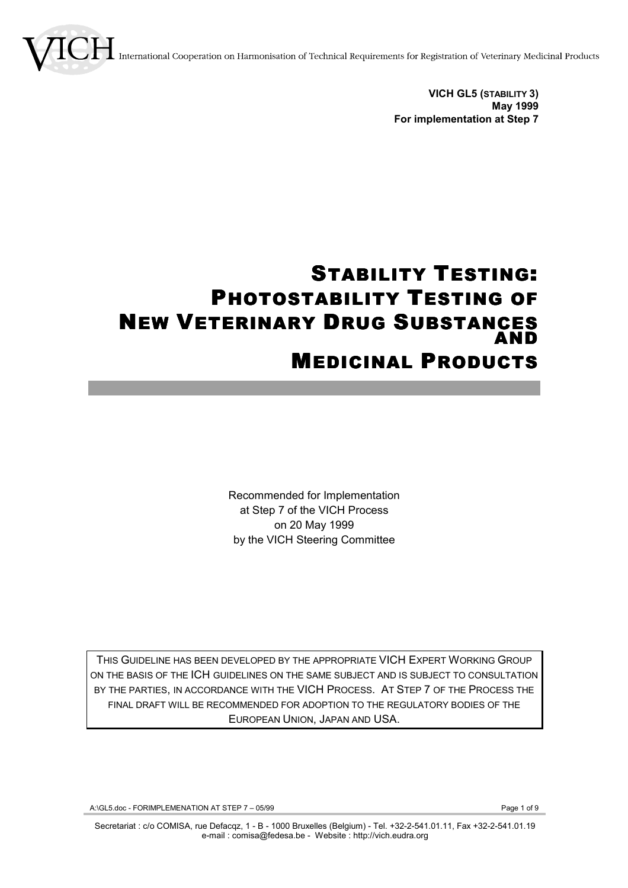International Cooperation on Harmonisation of Technical Requirements for Registration of Veterinary Medicinal Products

**VICH GL5 (STABILITY 3) May 1999 For implementation at Step 7**

# STABILITY TESTING: PHOTOSTABILITY TESTING OF NEW VETERINARY DRUG SUBSTANCES AND MEDICINAL PRODUCTS

Recommended for Implementation at Step 7 of the VICH Process on 20 May 1999 by the VICH Steering Committee

THIS GUIDELINE HAS BEEN DEVELOPED BY THE APPROPRIATE VICH EXPERT WORKING GROUP ON THE BASIS OF THE ICH GUIDELINES ON THE SAME SUBJECT AND IS SUBJECT TO CONSULTATION BY THE PARTIES, IN ACCORDANCE WITH THE VICH PROCESS. AT STEP 7 OF THE PROCESS THE FINAL DRAFT WILL BE RECOMMENDED FOR ADOPTION TO THE REGULATORY BODIES OF THE EUROPEAN UNION, JAPAN AND USA.

A:\GL5.doc - FORIMPLEMENATION AT STEP 7 – 05/99 Page 1 of 9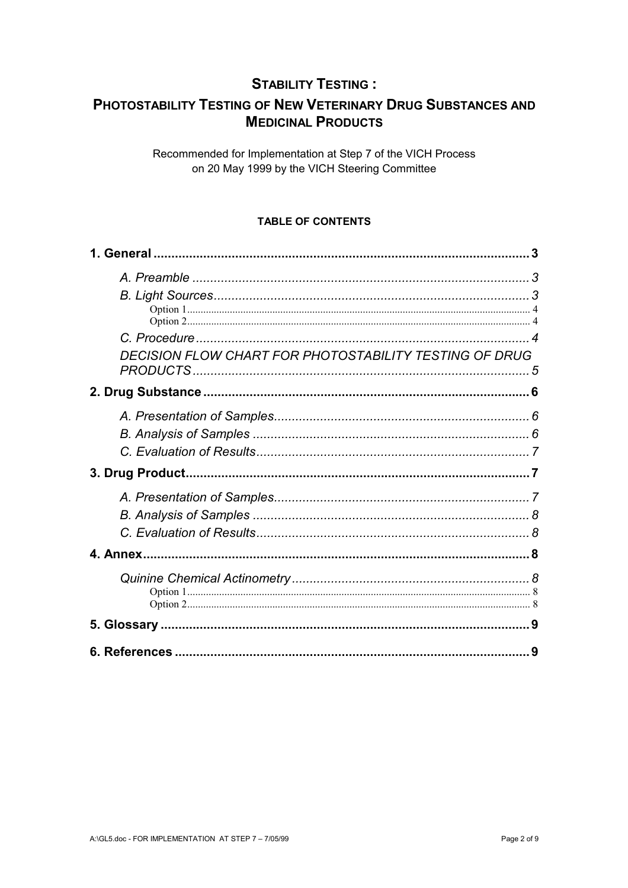# **STABILITY TESTING:**

# **PHOTOSTABILITY TESTING OF NEW VETERINARY DRUG SUBSTANCES AND MEDICINAL PRODUCTS**

Recommended for Implementation at Step 7 of the VICH Process on 20 May 1999 by the VICH Steering Committee

#### **TABLE OF CONTENTS**

| DECISION FLOW CHART FOR PHOTOSTABILITY TESTING OF DRUG |  |
|--------------------------------------------------------|--|
|                                                        |  |
|                                                        |  |
|                                                        |  |
|                                                        |  |
|                                                        |  |
|                                                        |  |
| .9                                                     |  |
| 9                                                      |  |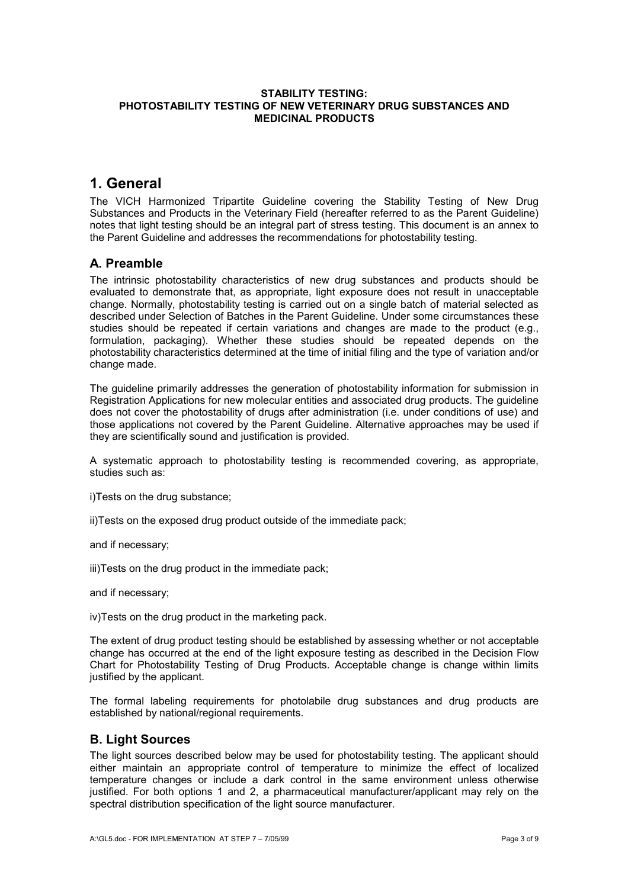#### **STABILITY TESTING: PHOTOSTABILITY TESTING OF NEW VETERINARY DRUG SUBSTANCES AND MEDICINAL PRODUCTS**

### **1. General**

The VICH Harmonized Tripartite Guideline covering the Stability Testing of New Drug Substances and Products in the Veterinary Field (hereafter referred to as the Parent Guideline) notes that light testing should be an integral part of stress testing. This document is an annex to the Parent Guideline and addresses the recommendations for photostability testing.

#### **A. Preamble**

The intrinsic photostability characteristics of new drug substances and products should be evaluated to demonstrate that, as appropriate, light exposure does not result in unacceptable change. Normally, photostability testing is carried out on a single batch of material selected as described under Selection of Batches in the Parent Guideline. Under some circumstances these studies should be repeated if certain variations and changes are made to the product (e.g., formulation, packaging). Whether these studies should be repeated depends on the photostability characteristics determined at the time of initial filing and the type of variation and/or change made.

The guideline primarily addresses the generation of photostability information for submission in Registration Applications for new molecular entities and associated drug products. The guideline does not cover the photostability of drugs after administration (i.e. under conditions of use) and those applications not covered by the Parent Guideline. Alternative approaches may be used if they are scientifically sound and justification is provided.

A systematic approach to photostability testing is recommended covering, as appropriate, studies such as:

i)Tests on the drug substance;

ii)Tests on the exposed drug product outside of the immediate pack;

and if necessary;

iii)Tests on the drug product in the immediate pack;

and if necessary;

iv)Tests on the drug product in the marketing pack.

The extent of drug product testing should be established by assessing whether or not acceptable change has occurred at the end of the light exposure testing as described in the Decision Flow Chart for Photostability Testing of Drug Products. Acceptable change is change within limits justified by the applicant.

The formal labeling requirements for photolabile drug substances and drug products are established by national/regional requirements.

#### **B. Light Sources**

The light sources described below may be used for photostability testing. The applicant should either maintain an appropriate control of temperature to minimize the effect of localized temperature changes or include a dark control in the same environment unless otherwise justified. For both options 1 and 2, a pharmaceutical manufacturer/applicant may rely on the spectral distribution specification of the light source manufacturer.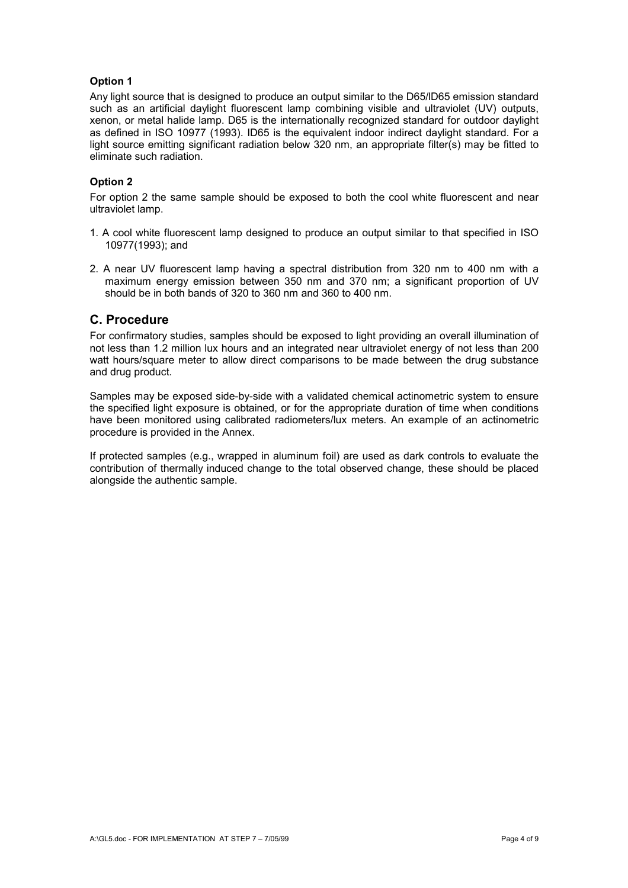#### **Option 1**

Any light source that is designed to produce an output similar to the D65/lD65 emission standard such as an artificial daylight fluorescent lamp combining visible and ultraviolet (UV) outputs, xenon, or metal halide lamp. D65 is the internationally recognized standard for outdoor daylight as defined in ISO 10977 (1993). ID65 is the equivalent indoor indirect daylight standard. For a light source emitting significant radiation below 320 nm, an appropriate filter(s) may be fitted to eliminate such radiation.

#### **Option 2**

For option 2 the same sample should be exposed to both the cool white fluorescent and near ultraviolet lamp.

- 1. A cool white fluorescent lamp designed to produce an output similar to that specified in ISO 10977(1993); and
- 2. A near UV fluorescent lamp having a spectral distribution from 320 nm to 400 nm with a maximum energy emission between 350 nm and 370 nm; a significant proportion of UV should be in both bands of 320 to 360 nm and 360 to 400 nm.

#### **C. Procedure**

For confirmatory studies, samples should be exposed to light providing an overall illumination of not less than 1.2 million lux hours and an integrated near ultraviolet energy of not less than 200 watt hours/square meter to allow direct comparisons to be made between the drug substance and drug product.

Samples may be exposed side-by-side with a validated chemical actinometric system to ensure the specified light exposure is obtained, or for the appropriate duration of time when conditions have been monitored using calibrated radiometers/lux meters. An example of an actinometric procedure is provided in the Annex.

If protected samples (e.g., wrapped in aluminum foil) are used as dark controls to evaluate the contribution of thermally induced change to the total observed change, these should be placed alongside the authentic sample.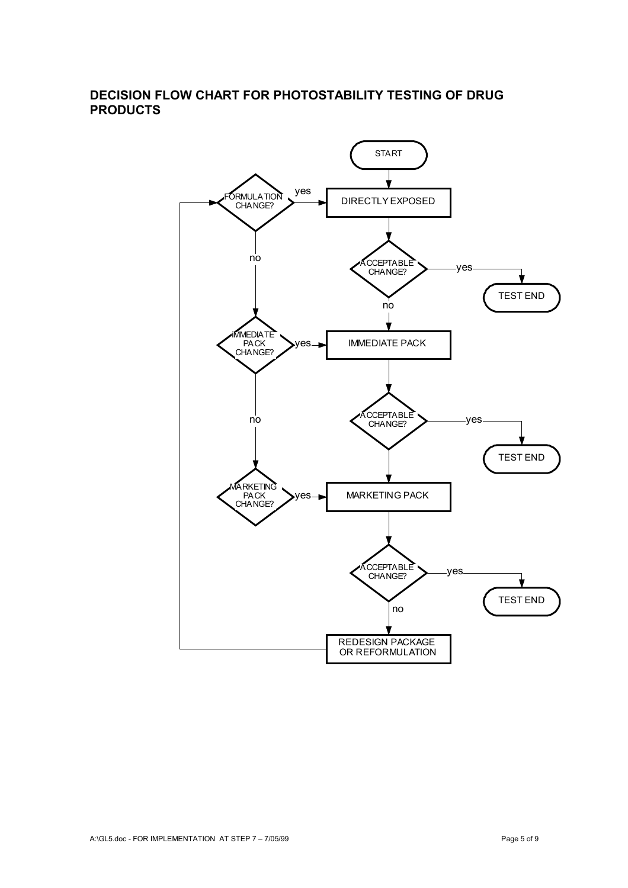#### **DECISION FLOW CHART FOR PHOTOSTABILITY TESTING OF DRUG PRODUCTS**

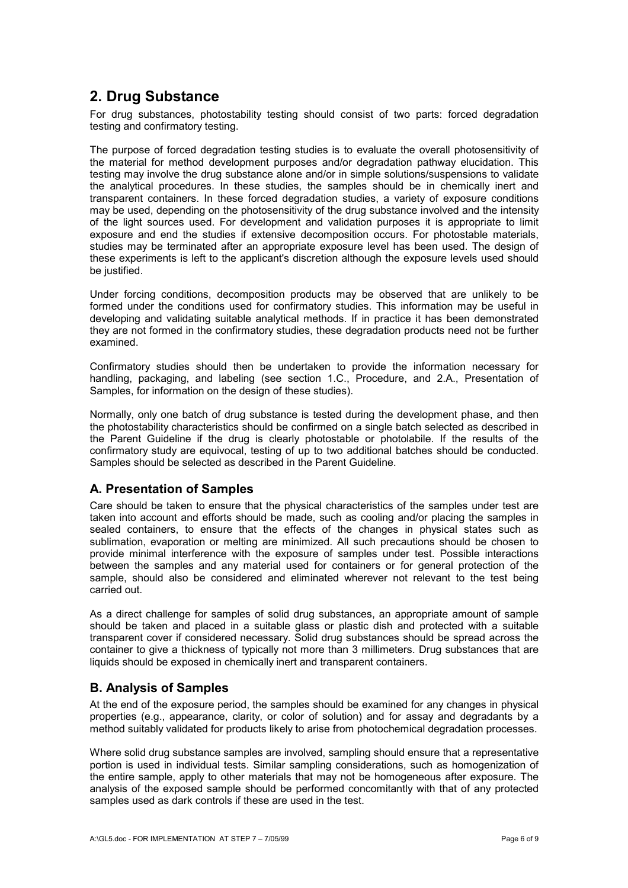# **2. Drug Substance**

For drug substances, photostability testing should consist of two parts: forced degradation testing and confirmatory testing.

The purpose of forced degradation testing studies is to evaluate the overall photosensitivity of the material for method development purposes and/or degradation pathway elucidation. This testing may involve the drug substance alone and/or in simple solutions/suspensions to validate the analytical procedures. In these studies, the samples should be in chemically inert and transparent containers. In these forced degradation studies, a variety of exposure conditions may be used, depending on the photosensitivity of the drug substance involved and the intensity of the light sources used. For development and validation purposes it is appropriate to limit exposure and end the studies if extensive decomposition occurs. For photostable materials, studies may be terminated after an appropriate exposure level has been used. The design of these experiments is left to the applicant's discretion although the exposure levels used should be justified.

Under forcing conditions, decomposition products may be observed that are unlikely to be formed under the conditions used for confirmatory studies. This information may be useful in developing and validating suitable analytical methods. If in practice it has been demonstrated they are not formed in the confirmatory studies, these degradation products need not be further examined.

Confirmatory studies should then be undertaken to provide the information necessary for handling, packaging, and labeling (see section 1.C., Procedure, and 2.A., Presentation of Samples, for information on the design of these studies).

Normally, only one batch of drug substance is tested during the development phase, and then the photostability characteristics should be confirmed on a single batch selected as described in the Parent Guideline if the drug is clearly photostable or photolabile. If the results of the confirmatory study are equivocal, testing of up to two additional batches should be conducted. Samples should be selected as described in the Parent Guideline.

#### **A. Presentation of Samples**

Care should be taken to ensure that the physical characteristics of the samples under test are taken into account and efforts should be made, such as cooling and/or placing the samples in sealed containers, to ensure that the effects of the changes in physical states such as sublimation, evaporation or melting are minimized. All such precautions should be chosen to provide minimal interference with the exposure of samples under test. Possible interactions between the samples and any material used for containers or for general protection of the sample, should also be considered and eliminated wherever not relevant to the test being carried out.

As a direct challenge for samples of solid drug substances, an appropriate amount of sample should be taken and placed in a suitable glass or plastic dish and protected with a suitable transparent cover if considered necessary. Solid drug substances should be spread across the container to give a thickness of typically not more than 3 millimeters. Drug substances that are liquids should be exposed in chemically inert and transparent containers.

#### **B. Analysis of Samples**

At the end of the exposure period, the samples should be examined for any changes in physical properties (e.g., appearance, clarity, or color of solution) and for assay and degradants by a method suitably validated for products likely to arise from photochemical degradation processes.

Where solid drug substance samples are involved, sampling should ensure that a representative portion is used in individual tests. Similar sampling considerations, such as homogenization of the entire sample, apply to other materials that may not be homogeneous after exposure. The analysis of the exposed sample should be performed concomitantly with that of any protected samples used as dark controls if these are used in the test.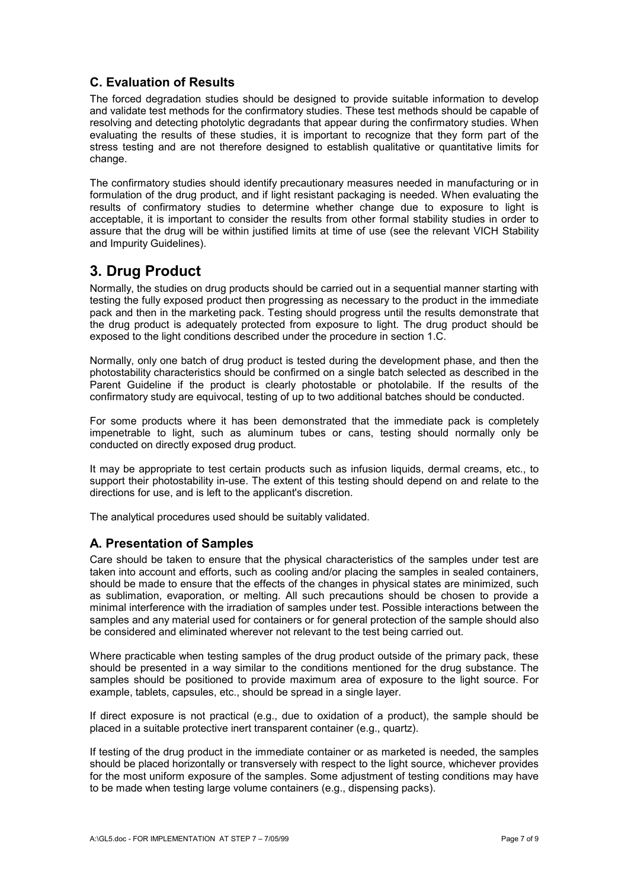#### **C. Evaluation of Results**

The forced degradation studies should be designed to provide suitable information to develop and validate test methods for the confirmatory studies. These test methods should be capable of resolving and detecting photolytic degradants that appear during the confirmatory studies. When evaluating the results of these studies, it is important to recognize that they form part of the stress testing and are not therefore designed to establish qualitative or quantitative limits for change.

The confirmatory studies should identify precautionary measures needed in manufacturing or in formulation of the drug product, and if light resistant packaging is needed. When evaluating the results of confirmatory studies to determine whether change due to exposure to light is acceptable, it is important to consider the results from other formal stability studies in order to assure that the drug will be within justified limits at time of use (see the relevant VICH Stability and Impurity Guidelines).

# **3. Drug Product**

Normally, the studies on drug products should be carried out in a sequential manner starting with testing the fully exposed product then progressing as necessary to the product in the immediate pack and then in the marketing pack. Testing should progress until the results demonstrate that the drug product is adequately protected from exposure to light. The drug product should be exposed to the light conditions described under the procedure in section 1.C.

Normally, only one batch of drug product is tested during the development phase, and then the photostability characteristics should be confirmed on a single batch selected as described in the Parent Guideline if the product is clearly photostable or photolabile. If the results of the confirmatory study are equivocal, testing of up to two additional batches should be conducted.

For some products where it has been demonstrated that the immediate pack is completely impenetrable to light, such as aluminum tubes or cans, testing should normally only be conducted on directly exposed drug product.

It may be appropriate to test certain products such as infusion liquids, dermal creams, etc., to support their photostability in-use. The extent of this testing should depend on and relate to the directions for use, and is left to the applicant's discretion.

The analytical procedures used should be suitably validated.

#### **A. Presentation of Samples**

Care should be taken to ensure that the physical characteristics of the samples under test are taken into account and efforts, such as cooling and/or placing the samples in sealed containers, should be made to ensure that the effects of the changes in physical states are minimized, such as sublimation, evaporation, or melting. All such precautions should be chosen to provide a minimal interference with the irradiation of samples under test. Possible interactions between the samples and any material used for containers or for general protection of the sample should also be considered and eliminated wherever not relevant to the test being carried out.

Where practicable when testing samples of the drug product outside of the primary pack, these should be presented in a way similar to the conditions mentioned for the drug substance. The samples should be positioned to provide maximum area of exposure to the light source. For example, tablets, capsules, etc., should be spread in a single layer.

If direct exposure is not practical (e.g., due to oxidation of a product), the sample should be placed in a suitable protective inert transparent container (e.g., quartz).

If testing of the drug product in the immediate container or as marketed is needed, the samples should be placed horizontally or transversely with respect to the light source, whichever provides for the most uniform exposure of the samples. Some adjustment of testing conditions may have to be made when testing large volume containers (e.g., dispensing packs).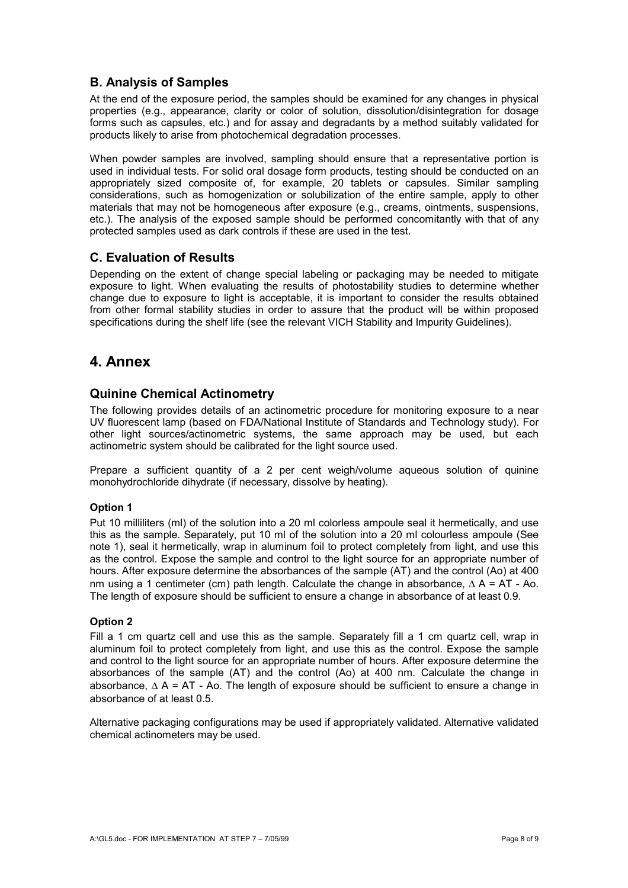#### **B. Analysis of Samples**

At the end of the exposure period, the samples should be examined for any changes in physical properties (e.g., appearance, clarity or color of solution, dissolution/disintegration for dosage forms such as capsules, etc.) and for assay and degradants by a method suitably validated for products likely to arise from photochemical degradation processes.

When powder samples are involved, sampling should ensure that a representative portion is used in individual tests. For solid oral dosage form products, testing should be conducted on an appropriately sized composite of, for example, 20 tablets or capsules. Similar sampling considerations, such as homogenization or solubilization of the entire sample, apply to other materials that may not be homogeneous after exposure (e.g., creams, ointments, suspensions, etc.). The analysis of the exposed sample should be performed concomitantly with that of any protected samples used as dark controls if these are used in the test.

#### **C. Evaluation of Results**

Depending on the extent of change special labeling or packaging may be needed to mitigate exposure to light. When evaluating the results of photostability studies to determine whether change due to exposure to light is acceptable, it is important to consider the results obtained from other formal stability studies in order to assure that the product will be within proposed specifications during the shelf life (see the relevant VICH Stability and Impurity Guidelines).

### **4. Annex**

#### **Quinine Chemical Actinometry**

The following provides details of an actinometric procedure for monitoring exposure to a near UV fluorescent lamp (based on FDA/National Institute of Standards and Technology study). For other light sources/actinometric systems, the same approach may be used, but each actinometric system should be calibrated for the light source used.

Prepare a sufficient quantity of a 2 per cent weigh/volume aqueous solution of quinine monohydrochloride dihydrate (if necessary, dissolve by heating).

#### **Option 1**

Put 10 milliliters (ml) of the solution into a 20 ml colorless ampoule seal it hermetically, and use this as the sample. Separately, put 10 ml of the solution into a 20 ml colourless ampoule (See note 1), seal it hermetically, wrap in aluminum foil to protect completely from light, and use this as the control. Expose the sample and control to the light source for an appropriate number of hours. After exposure determine the absorbances of the sample (AT) and the control (Ao) at 400 nm using a 1 centimeter (cm) path length. Calculate the change in absorbance, ∆ A = AT - Ao. The length of exposure should be sufficient to ensure a change in absorbance of at least 0.9.

#### **Option 2**

Fill a 1 cm quartz cell and use this as the sample. Separately fill a 1 cm quartz cell, wrap in aluminum foil to protect completely from light, and use this as the control. Expose the sample and control to the light source for an appropriate number of hours. After exposure determine the absorbances of the sample (AT) and the control (Ao) at 400 nm. Calculate the change in absorbance,  $\Delta A = AT - A$ o. The length of exposure should be sufficient to ensure a change in absorbance of at least 0.5.

Alternative packaging configurations may be used if appropriately validated. Alternative validated chemical actinometers may be used.